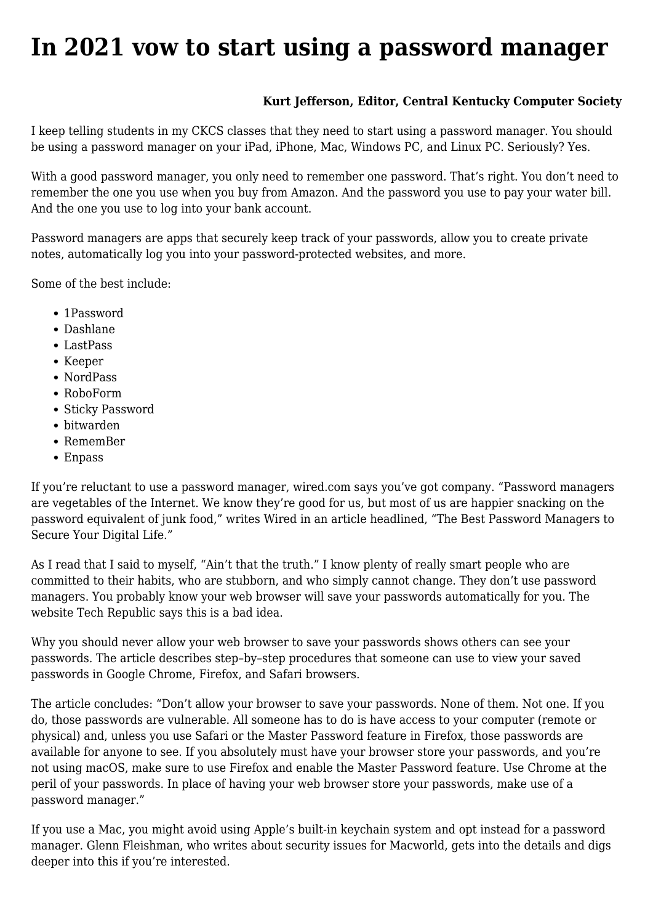## **[In 2021 vow to start using a password manager](https://www.melbpc.org.au/in-2021-vow-to-start-using-a-password-manager/)**

## **Kurt Jefferson, Editor, Central Kentucky Computer Society**

I keep telling students in my CKCS classes that they need to start using a password manager. You should be using a password manager on your iPad, iPhone, Mac, Windows PC, and Linux PC. Seriously? Yes.

With a good password manager, you only need to remember one password. That's right. You don't need to remember the one you use when you buy from Amazon. And the password you use to pay your water bill. And the one you use to log into your bank account.

Password managers are apps that securely keep track of your passwords, allow you to create private notes, automatically log you into your password-protected websites, and more.

Some of the best include:

- 1Password
- Dashlane
- LastPass
- Keeper
- NordPass
- RoboForm
- Sticky Password
- bitwarden
- RememBer
- Enpass

If you're reluctant to use a password manager, wired.com says you've got company. "Password managers are vegetables of the Internet. We know they're good for us, but most of us are happier snacking on the password equivalent of junk food," writes Wired in an article headlined, "The Best Password Managers to Secure Your Digital Life."

As I read that I said to myself, "Ain't that the truth." I know plenty of really smart people who are committed to their habits, who are stubborn, and who simply cannot change. They don't use password managers. You probably know your web browser will save your passwords automatically for you. The website Tech Republic says this is a bad idea.

Why you should never allow your web browser to save your passwords shows others can see your passwords. The article describes step–by–step procedures that someone can use to view your saved passwords in Google Chrome, Firefox, and Safari browsers.

The article concludes: "Don't allow your browser to save your passwords. None of them. Not one. If you do, those passwords are vulnerable. All someone has to do is have access to your computer (remote or physical) and, unless you use Safari or the Master Password feature in Firefox, those passwords are available for anyone to see. If you absolutely must have your browser store your passwords, and you're not using macOS, make sure to use Firefox and enable the Master Password feature. Use Chrome at the peril of your passwords. In place of having your web browser store your passwords, make use of a password manager."

If you use a Mac, you might avoid using Apple's built-in keychain system and opt instead for a password manager. Glenn Fleishman, who writes about security issues for Macworld, gets into the details and digs deeper into this if you're interested.